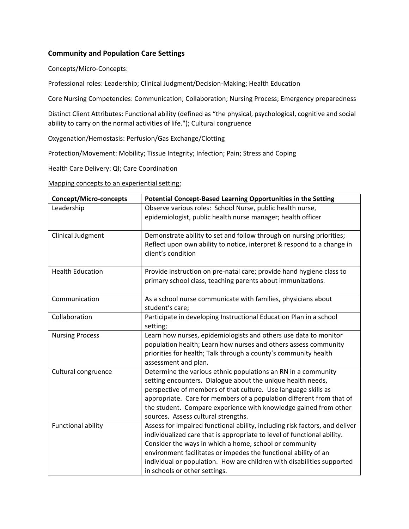## **Community and Population Care Settings**

## Concepts/Micro-Concepts:

Professional roles: Leadership; Clinical Judgment/Decision-Making; Health Education

Core Nursing Competencies: Communication; Collaboration; Nursing Process; Emergency preparedness

Distinct Client Attributes: Functional ability (defined as "the physical, psychological, cognitive and social ability to carry on the normal activities of life."); Cultural congruence

Oxygenation/Hemostasis: Perfusion/Gas Exchange/Clotting

Protection/Movement: Mobility; Tissue Integrity; Infection; Pain; Stress and Coping

Health Care Delivery: QI; Care Coordination

Mapping concepts to an experiential setting:

| <b>Concept/Micro-concepts</b> | Potential Concept-Based Learning Opportunities in the Setting                                                                                                                                                                                                                                                                                                                                  |
|-------------------------------|------------------------------------------------------------------------------------------------------------------------------------------------------------------------------------------------------------------------------------------------------------------------------------------------------------------------------------------------------------------------------------------------|
| Leadership                    | Observe various roles: School Nurse, public health nurse,                                                                                                                                                                                                                                                                                                                                      |
|                               | epidemiologist, public health nurse manager; health officer                                                                                                                                                                                                                                                                                                                                    |
| <b>Clinical Judgment</b>      | Demonstrate ability to set and follow through on nursing priorities;<br>Reflect upon own ability to notice, interpret & respond to a change in<br>client's condition                                                                                                                                                                                                                           |
| <b>Health Education</b>       | Provide instruction on pre-natal care; provide hand hygiene class to<br>primary school class, teaching parents about immunizations.                                                                                                                                                                                                                                                            |
| Communication                 | As a school nurse communicate with families, physicians about<br>student's care;                                                                                                                                                                                                                                                                                                               |
| Collaboration                 | Participate in developing Instructional Education Plan in a school<br>setting;                                                                                                                                                                                                                                                                                                                 |
| <b>Nursing Process</b>        | Learn how nurses, epidemiologists and others use data to monitor<br>population health; Learn how nurses and others assess community<br>priorities for health; Talk through a county's community health<br>assessment and plan.                                                                                                                                                                 |
| Cultural congruence           | Determine the various ethnic populations an RN in a community<br>setting encounters. Dialogue about the unique health needs,<br>perspective of members of that culture. Use language skills as<br>appropriate. Care for members of a population different from that of<br>the student. Compare experience with knowledge gained from other<br>sources. Assess cultural strengths.              |
| <b>Functional ability</b>     | Assess for impaired functional ability, including risk factors, and deliver<br>individualized care that is appropriate to level of functional ability.<br>Consider the ways in which a home, school or community<br>environment facilitates or impedes the functional ability of an<br>individual or population. How are children with disabilities supported<br>in schools or other settings. |